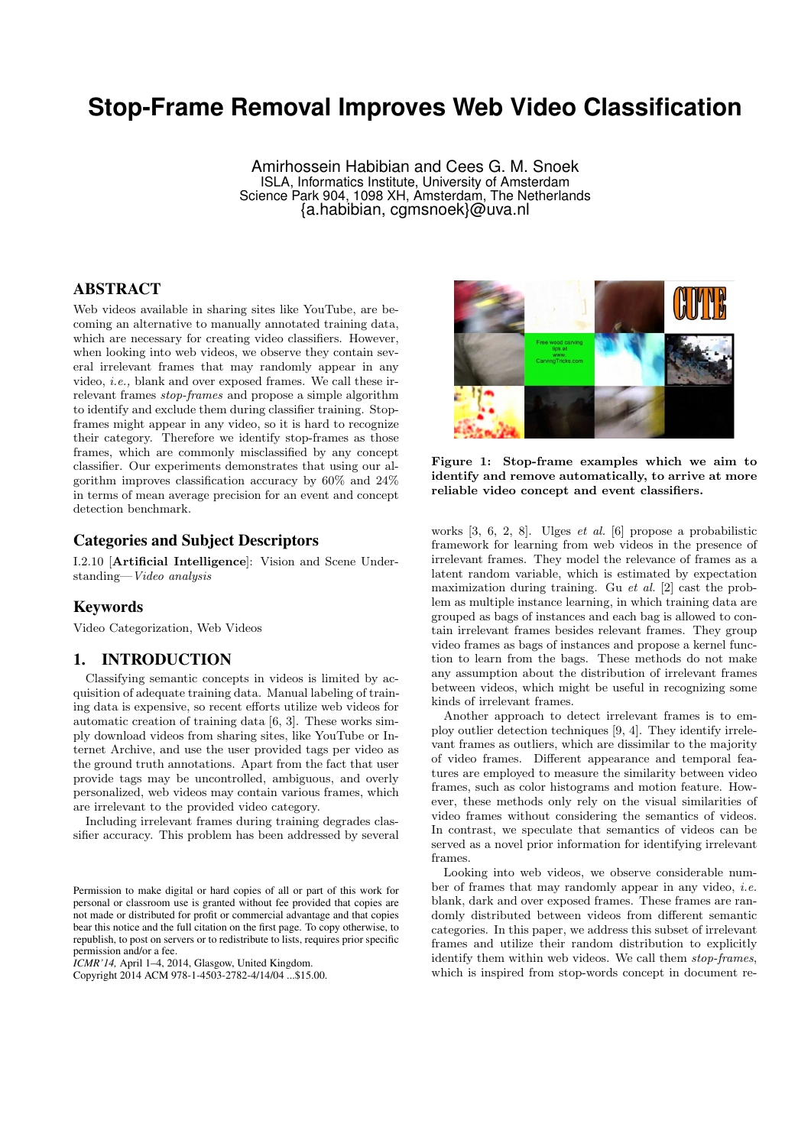# **Stop-Frame Removal Improves Web Video Classification**

Amirhossein Habibian and Cees G. M. Snoek ISLA, Informatics Institute, University of Amsterdam Science Park 904, 1098 XH, Amsterdam, The Netherlands {a.habibian, cgmsnoek}@uva.nl

# ABSTRACT

Web videos available in sharing sites like YouTube, are becoming an alternative to manually annotated training data, which are necessary for creating video classifiers. However, when looking into web videos, we observe they contain several irrelevant frames that may randomly appear in any video, *i.e.,* blank and over exposed frames. We call these irrelevant frames *stop-frames* and propose a simple algorithm to identify and exclude them during classifier training. Stopframes might appear in any video, so it is hard to recognize their category. Therefore we identify stop-frames as those frames, which are commonly misclassified by any concept classifier. Our experiments demonstrates that using our algorithm improves classification accuracy by 60% and 24% in terms of mean average precision for an event and concept detection benchmark.

## Categories and Subject Descriptors

I.2.10 [Artificial Intelligence]: Vision and Scene Understanding—*Video analysis*

## Keywords

Video Categorization, Web Videos

## 1. INTRODUCTION

Classifying semantic concepts in videos is limited by acquisition of adequate training data. Manual labeling of training data is expensive, so recent efforts utilize web videos for automatic creation of training data [6, 3]. These works simply download videos from sharing sites, like YouTube or Internet Archive, and use the user provided tags per video as the ground truth annotations. Apart from the fact that user provide tags may be uncontrolled, ambiguous, and overly personalized, web videos may contain various frames, which are irrelevant to the provided video category.

Including irrelevant frames during training degrades classifier accuracy. This problem has been addressed by several

*ICMR'14,* April 1–4, 2014, Glasgow, United Kingdom.

Copyright 2014 ACM 978-1-4503-2782-4/14/04 ...\$15.00.



Figure 1: Stop-frame examples which we aim to identify and remove automatically, to arrive at more reliable video concept and event classifiers.

works [3, 6, 2, 8]. Ulges *et al.* [6] propose a probabilistic framework for learning from web videos in the presence of irrelevant frames. They model the relevance of frames as a latent random variable, which is estimated by expectation maximization during training. Gu *et al.* [2] cast the problem as multiple instance learning, in which training data are grouped as bags of instances and each bag is allowed to contain irrelevant frames besides relevant frames. They group video frames as bags of instances and propose a kernel function to learn from the bags. These methods do not make any assumption about the distribution of irrelevant frames between videos, which might be useful in recognizing some kinds of irrelevant frames.

Another approach to detect irrelevant frames is to employ outlier detection techniques [9, 4]. They identify irrelevant frames as outliers, which are dissimilar to the majority of video frames. Different appearance and temporal features are employed to measure the similarity between video frames, such as color histograms and motion feature. However, these methods only rely on the visual similarities of video frames without considering the semantics of videos. In contrast, we speculate that semantics of videos can be served as a novel prior information for identifying irrelevant frames.

Looking into web videos, we observe considerable number of frames that may randomly appear in any video, *i.e.* blank, dark and over exposed frames. These frames are randomly distributed between videos from different semantic categories. In this paper, we address this subset of irrelevant frames and utilize their random distribution to explicitly identify them within web videos. We call them *stop-frames*, which is inspired from stop-words concept in document re-

Permission to make digital or hard copies of all or part of this work for personal or classroom use is granted without fee provided that copies are not made or distributed for profit or commercial advantage and that copies bear this notice and the full citation on the first page. To copy otherwise, to republish, to post on servers or to redistribute to lists, requires prior specific permission and/or a fee.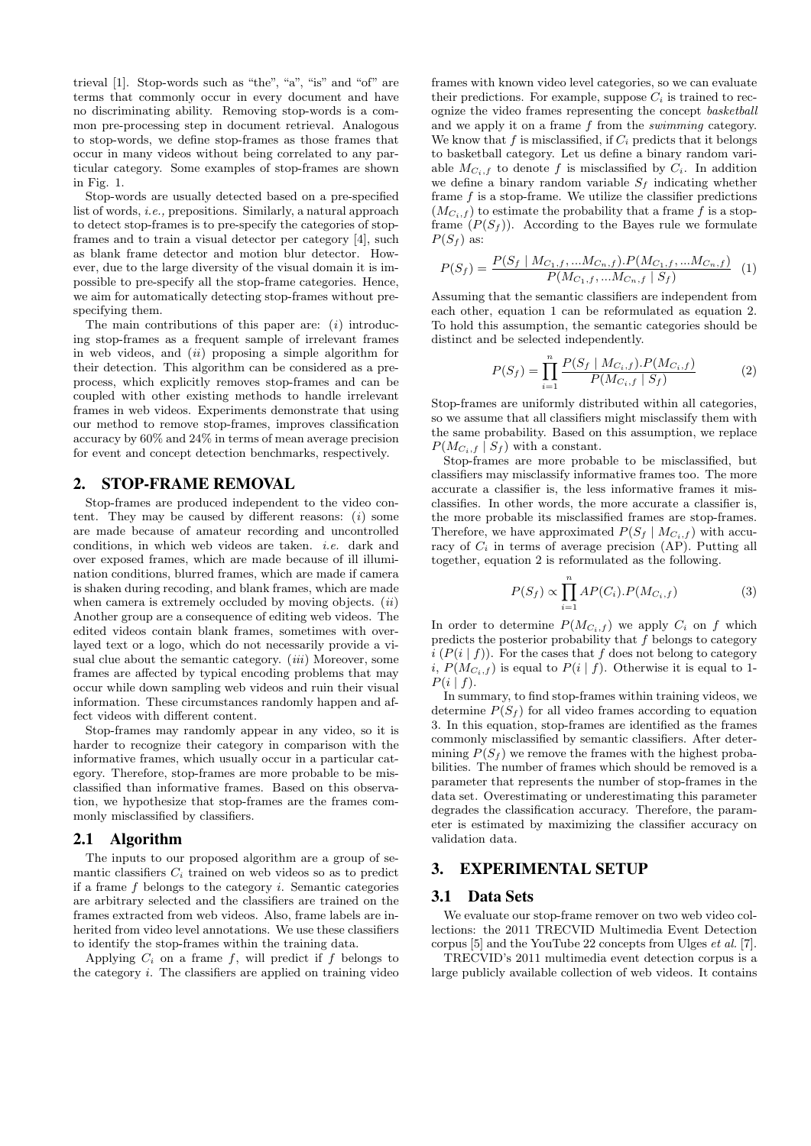trieval [1]. Stop-words such as "the", "a", "is" and "of" are terms that commonly occur in every document and have no discriminating ability. Removing stop-words is a common pre-processing step in document retrieval. Analogous to stop-words, we define stop-frames as those frames that occur in many videos without being correlated to any particular category. Some examples of stop-frames are shown in Fig. 1.

Stop-words are usually detected based on a pre-specified list of words, *i.e.,* prepositions. Similarly, a natural approach to detect stop-frames is to pre-specify the categories of stopframes and to train a visual detector per category [4], such as blank frame detector and motion blur detector. However, due to the large diversity of the visual domain it is impossible to pre-specify all the stop-frame categories. Hence, we aim for automatically detecting stop-frames without prespecifying them.

The main contributions of this paper are: (*i*) introducing stop-frames as a frequent sample of irrelevant frames in web videos, and (*ii*) proposing a simple algorithm for their detection. This algorithm can be considered as a preprocess, which explicitly removes stop-frames and can be coupled with other existing methods to handle irrelevant frames in web videos. Experiments demonstrate that using our method to remove stop-frames, improves classification accuracy by 60% and 24% in terms of mean average precision for event and concept detection benchmarks, respectively.

#### 2. STOP-FRAME REMOVAL

Stop-frames are produced independent to the video content. They may be caused by different reasons:  $(i)$  some are made because of amateur recording and uncontrolled conditions, in which web videos are taken. *i.e.* dark and over exposed frames, which are made because of ill illumination conditions, blurred frames, which are made if camera is shaken during recoding, and blank frames, which are made when camera is extremely occluded by moving objects. (*ii*) Another group are a consequence of editing web videos. The edited videos contain blank frames, sometimes with overlayed text or a logo, which do not necessarily provide a visual clue about the semantic category. (*iii*) Moreover, some frames are affected by typical encoding problems that may occur while down sampling web videos and ruin their visual information. These circumstances randomly happen and affect videos with different content.

Stop-frames may randomly appear in any video, so it is harder to recognize their category in comparison with the informative frames, which usually occur in a particular category. Therefore, stop-frames are more probable to be misclassified than informative frames. Based on this observation, we hypothesize that stop-frames are the frames commonly misclassified by classifiers.

#### 2.1 Algorithm

The inputs to our proposed algorithm are a group of semantic classifiers  $C_i$  trained on web videos so as to predict if a frame *f* belongs to the category *i*. Semantic categories are arbitrary selected and the classifiers are trained on the frames extracted from web videos. Also, frame labels are inherited from video level annotations. We use these classifiers to identify the stop-frames within the training data.

Applying  $C_i$  on a frame  $f$ , will predict if  $f$  belongs to the category *i*. The classifiers are applied on training video

frames with known video level categories, so we can evaluate their predictions. For example, suppose  $C_i$  is trained to recognize the video frames representing the concept *basketball* and we apply it on a frame *f* from the *swimming* category. We know that  $f$  is misclassified, if  $C_i$  predicts that it belongs to basketball category. Let us define a binary random variable  $M_{C_i,f}$  to denote f is misclassified by  $C_i$ . In addition we define a binary random variable  $S_f$  indicating whether frame *f* is a stop-frame. We utilize the classifier predictions  $(M_{C_i,f})$  to estimate the probability that a frame f is a stopframe  $(P(S_f))$ . According to the Bayes rule we formulate  $P(S_f)$  as:

$$
P(S_f) = \frac{P(S_f \mid M_{C_1,f}, \dots M_{C_n,f}) \cdot P(M_{C_1,f}, \dots M_{C_n,f})}{P(M_{C_1,f}, \dots M_{C_n,f} \mid S_f)} \tag{1}
$$

Assuming that the semantic classifiers are independent from each other, equation 1 can be reformulated as equation 2. To hold this assumption, the semantic categories should be distinct and be selected independently.

$$
P(S_f) = \prod_{i=1}^{n} \frac{P(S_f \mid M_{C_i,f}) \cdot P(M_{C_i,f})}{P(M_{C_i,f} \mid S_f)}
$$
(2)

Stop-frames are uniformly distributed within all categories, so we assume that all classifiers might misclassify them with the same probability. Based on this assumption, we replace  $P(M_{C_i,f} | S_f)$  with a constant.

Stop-frames are more probable to be misclassified, but classifiers may misclassify informative frames too. The more accurate a classifier is, the less informative frames it misclassifies. In other words, the more accurate a classifier is, the more probable its misclassified frames are stop-frames. Therefore, we have approximated  $P(S_f | M_{C_i,f})$  with accuracy of  $C_i$  in terms of average precision (AP). Putting all together, equation 2 is reformulated as the following.

$$
P(S_f) \propto \prod_{i=1}^{n} AP(C_i).P(M_{C_i,f})
$$
\n(3)

In order to determine  $P(M_{C_i,f})$  we apply  $C_i$  on  $f$  which predicts the posterior probability that *f* belongs to category  $i$  ( $P(i | f)$ ). For the cases that  $f$  does not belong to category *i*,  $P(M_{C_i,f})$  is equal to  $P(i | f)$ . Otherwise it is equal to 1- $P(i | f)$ .

In summary, to find stop-frames within training videos, we determine  $P(S_f)$  for all video frames according to equation 3. In this equation, stop-frames are identified as the frames commonly misclassified by semantic classifiers. After determining  $P(S_f)$  we remove the frames with the highest probabilities. The number of frames which should be removed is a parameter that represents the number of stop-frames in the data set. Overestimating or underestimating this parameter degrades the classification accuracy. Therefore, the parameter is estimated by maximizing the classifier accuracy on validation data.

#### 3. EXPERIMENTAL SETUP

#### 3.1 Data Sets

We evaluate our stop-frame remover on two web video collections: the 2011 TRECVID Multimedia Event Detection corpus [5] and the YouTube 22 concepts from Ulges *et al.* [7].

TRECVID's 2011 multimedia event detection corpus is a large publicly available collection of web videos. It contains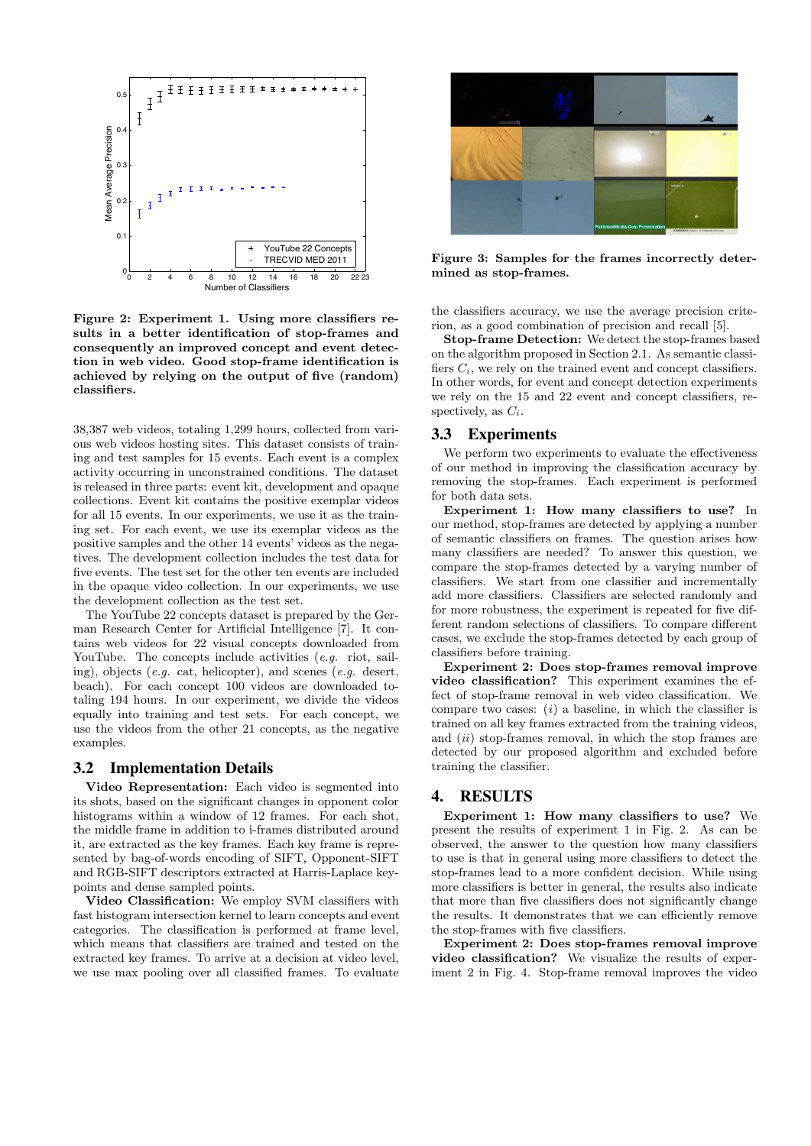

Figure 2: Experiment 1. Using more classifiers results in a better identification of stop-frames and consequently an improved concept and event detection in web video. Good stop-frame identification is achieved by relying on the output of five (random) classifiers.

38,387 web videos, totaling 1,299 hours, collected from various web videos hosting sites. This dataset consists of training and test samples for 15 events. Each event is a complex activity occurring in unconstrained conditions. The dataset is released in three parts: event kit, development and opaque collections. Event kit contains the positive exemplar videos for all 15 events. In our experiments, we use it as the training set. For each event, we use its exemplar videos as the positive samples and the other 14 events' videos as the negatives. The development collection includes the test data for five events. The test set for the other ten events are included in the opaque video collection. In our experiments, we use the development collection as the test set.

The YouTube 22 concepts dataset is prepared by the German Research Center for Artificial Intelligence [7]. It contains web videos for 22 visual concepts downloaded from YouTube. The concepts include activities *(e.g.* riot, sailing), objects (*e.g.* cat, helicopter), and scenes (*e.g.* desert, beach). For each concept 100 videos are downloaded totaling 194 hours. In our experiment, we divide the videos equally into training and test sets. For each concept, we use the videos from the other 21 concepts, as the negative examples.

#### 3.2 Implementation Details

Video Representation: Each video is segmented into its shots, based on the significant changes in opponent color histograms within a window of 12 frames. For each shot, the middle frame in addition to i-frames distributed around it, are extracted as the key frames. Each key frame is represented by bag-of-words encoding of SIFT, Opponent-SIFT and RGB-SIFT descriptors extracted at Harris-Laplace keypoints and dense sampled points.

Video Classification: We employ SVM classifiers with fast histogram intersection kernel to learn concepts and event categories. The classification is performed at frame level, which means that classifiers are trained and tested on the extracted key frames. To arrive at a decision at video level, we use max pooling over all classified frames. To evaluate



Figure 3: Samples for the frames incorrectly determined as stop-frames.

the classifiers accuracy, we use the average precision criterion, as a good combination of precision and recall [5].

Stop-frame Detection: We detect the stop-frames based on the algorithm proposed in Section 2.1. As semantic classifiers  $C_i$ , we rely on the trained event and concept classifiers. In other words, for event and concept detection experiments we rely on the 15 and 22 event and concept classifiers, respectively, as *Ci*.

#### 3.3 Experiments

We perform two experiments to evaluate the effectiveness of our method in improving the classification accuracy by removing the stop-frames. Each experiment is performed for both data sets.

Experiment 1: How many classifiers to use? In our method, stop-frames are detected by applying a number of semantic classifiers on frames. The question arises how many classifiers are needed? To answer this question, we compare the stop-frames detected by a varying number of classifiers. We start from one classifier and incrementally add more classifiers. Classifiers are selected randomly and for more robustness, the experiment is repeated for five different random selections of classifiers. To compare different cases, we exclude the stop-frames detected by each group of classifiers before training.

Experiment 2: Does stop-frames removal improve video classification? This experiment examines the effect of stop-frame removal in web video classification. We compare two cases: (*i*) a baseline, in which the classifier is trained on all key frames extracted from the training videos, and (*ii*) stop-frames removal, in which the stop frames are detected by our proposed algorithm and excluded before training the classifier.

## 4. RESULTS

Experiment 1: How many classifiers to use? We present the results of experiment 1 in Fig. 2. As can be observed, the answer to the question how many classifiers to use is that in general using more classifiers to detect the stop-frames lead to a more confident decision. While using more classifiers is better in general, the results also indicate that more than five classifiers does not significantly change the results. It demonstrates that we can efficiently remove the stop-frames with five classifiers.

Experiment 2: Does stop-frames removal improve video classification? We visualize the results of experiment 2 in Fig. 4. Stop-frame removal improves the video